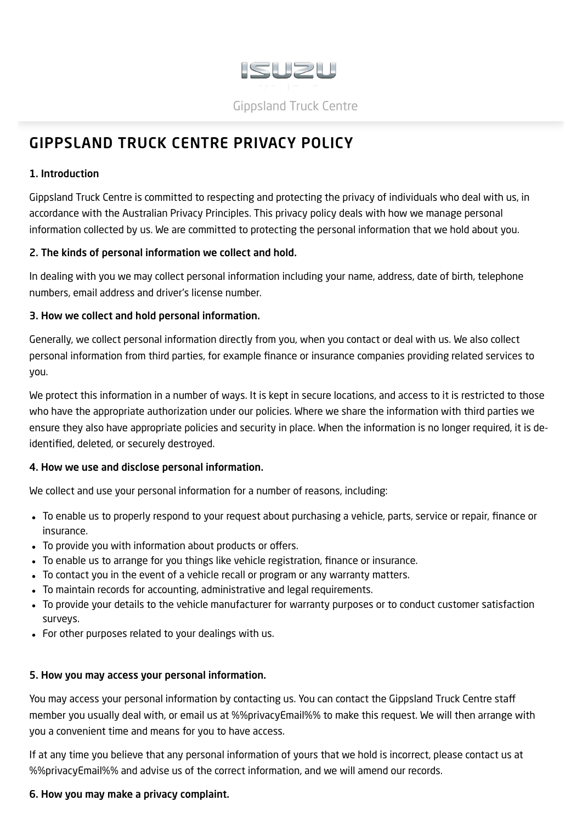

# <span id="page-0-0"></span>GIPPSLAND TRUCK CENTRE PRIVACY POLICY

## 1. Introduction

Gippsland Truck Centre is committed to respecting and protecting the privacy of individuals who deal with us, in accordance with the Australian Privacy Principles. This privacy policy deals with how we manage personal information collected by us. We are committed to protecting the personal information that we hold about you.

#### 2. The kinds of personal information we collect and hold.

In dealing with you we may collect personal information including your name, address, date of birth, telephone numbers, email address and driver's license number.

## 3. How we collect and hold personal information.

Generally, we collect personal information directly from you, when you contact or deal with us. We also collect personal information from third parties, for example finance or insurance companies providing related services to you.

We protect this information in a number of ways. It is kept in secure locations, and access to it is restricted to those who have the appropriate authorization under our policies. Where we share the information with third parties we ensure they also have appropriate policies and security in place. When the information is no longer required, it is deidentified, deleted, or securely destroyed.

# 4. How we use and disclose personal information.

We collect and use your personal information for a number of reasons, including:

- To enable us to properly respond to your request about purchasing a vehicle, parts, service or repair, finance or insurance.
- To provide you with information about products or offers.
- To enable us to arrange for you things like vehicle registration, finance or insurance.
- To contact you in the event of a vehicle recall or program or any warranty matters.
- To maintain records for accounting, administrative and legal requirements.
- To provide your details to the vehicle manufacturer for warranty purposes or to conduct customer satisfaction surveys.
- For other purposes related to your dealings with us.

# 5. How you may access your personal information.

You may access your personal information by contacting us. You can contact the Gippsland Truck Centre staff member you usually deal with, or email us at %%privacyEmail%% to make this request. We will then arrange with you a convenient time and means for you to have access.

If at any time you believe that any personal information of yours that we hold is incorrect, please contact us at %%privacyEmail%% and advise us of the correct information, and we will amend our records.

# 6. How you may make a privacy complaint.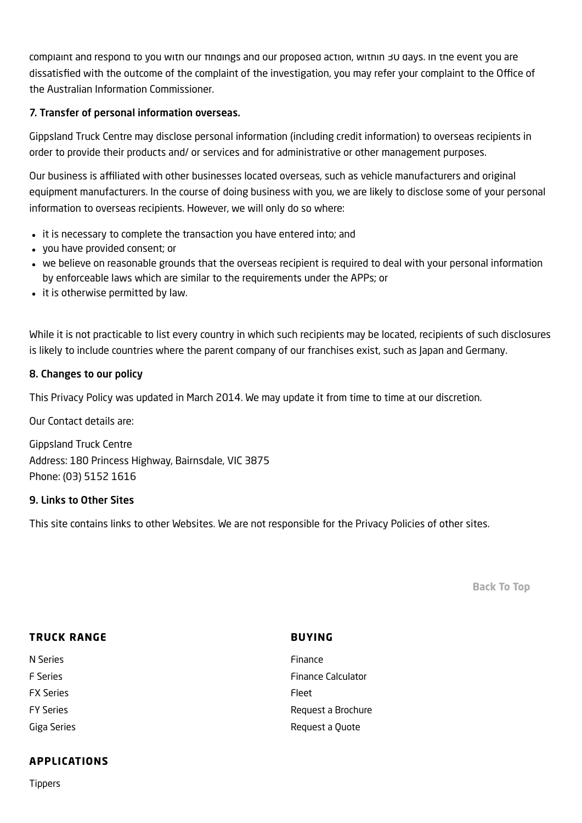complaint and respond to you with our findings and our proposed action, within 30 days. In the event you are dissatisfied with the outcome of the complaint of the investigation, you may refer your complaint to the Office of the Australian Information Commissioner.

## 7. Transfer of personal information overseas.

Gippsland Truck Centre may disclose personal information (including credit information) to overseas recipients in order to provide their products and/ or services and for administrative or other management purposes.

Our business is affiliated with other businesses located overseas, such as vehicle manufacturers and original equipment manufacturers. In the course of doing business with you, we are likely to disclose some of your personal information to overseas recipients. However, we will only do so where:

- it is necessary to complete the transaction you have entered into; and
- you have provided consent; or
- we believe on reasonable grounds that the overseas recipient is required to deal with your personal information by enforceable laws which are similar to the requirements under the APPs; or
- it is otherwise permitted by law.

While it is not practicable to list every country in which such recipients may be located, recipients of such disclosures is likely to include countries where the parent company of our franchises exist, such as Japan and Germany.

#### 8. Changes to our policy

This Privacy Policy was updated in March 2014. We may update it from time to time at our discretion.

Our Contact details are:

Gippsland Truck Centre Address: 180 Princess Highway, Bairnsdale, VIC 3875 Phone: (03) 5152 1616

#### 9. Links to Other Sites

This site contains links to other Websites. We are not responsible for the Privacy Policies of other sites.

[Back](#page-0-0) To Top

| <b>TRUCK RANGE</b> | <b>BUYING</b>             |
|--------------------|---------------------------|
| N Series           | Finance                   |
| <b>F</b> Series    | <b>Finance Calculator</b> |
| <b>FX Series</b>   | Fleet                     |
| <b>FY Series</b>   | Request a Brochure        |
| Giga Series        | Request a Quote           |

# APPLICATIONS

[Tippers](https://www.gippslandtruckcentreisuzu.com.au/2019isuzutrucks/new-categories/tippers/)